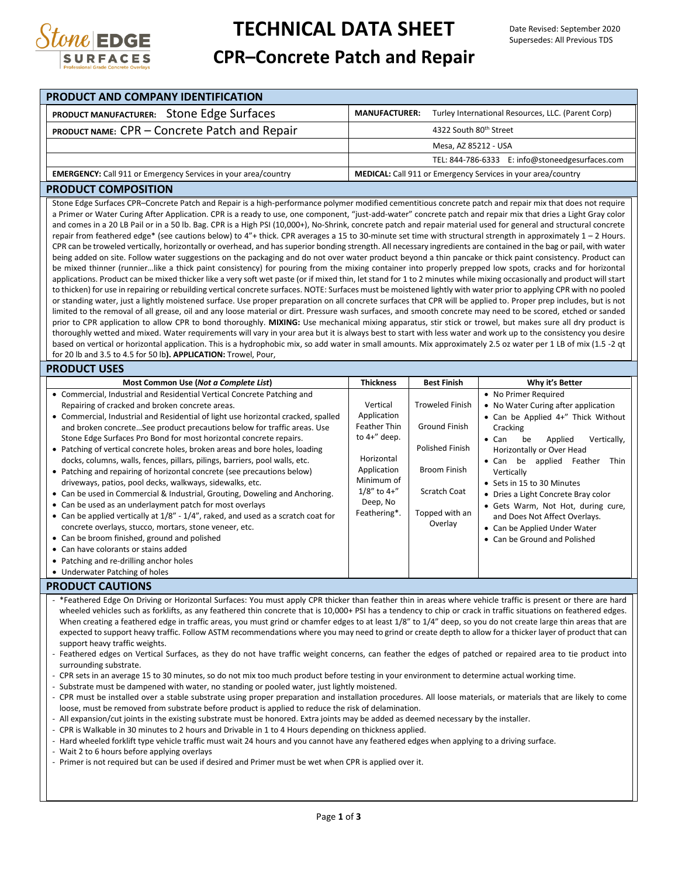

## **TECHNICAL DATA SHEET CPR–Concrete Patch and Repair**

#### **PRODUCT AND COMPANY IDENTIFICATION PRODUCT MANUFACTURER:** Stone Edge Surfaces **MANUFACTURER:** Turley International Resources, LLC. (Parent Corp) **PRODUCT NAME:** CPR – Concrete Patch and Repair  $\vert$  4322 South 80<sup>th</sup> Street Mesa, AZ 85212 - USA TEL: 844-786-6333 E: info@stoneedgesurfaces.com **EMERGENCY:** Call 911 or Emergency Services in your area/country **MEDICAL:** Call 911 or Emergency Services in your area/country **PRODUCT COMPOSITION** Stone Edge Surfaces CPR–Concrete Patch and Repair is a high-performance polymer modified cementitious concrete patch and repair mix that does not require a Primer or Water Curing After Application. CPR is a ready to use, one component, "just-add-water" concrete patch and repair mix that dries a Light Gray color and comes in a 20 LB Pail or in a 50 lb. Bag. CPR is a High PSI (10,000+), No-Shrink, concrete patch and repair material used for general and structural concrete repair from feathered edge\* (see cautions below) to 4"+ thick. CPR averages a 15 to 30-minute set time with structural strength in approximately 1 - 2 Hours. CPR can be troweled vertically, horizontally or overhead, and has superior bonding strength. All necessary ingredients are contained in the bag or pail, with water being added on site. Follow water suggestions on the packaging and do not over water product beyond a thin pancake or thick paint consistency. Product can be mixed thinner (runnier...like a thick paint consistency) for pouring from the mixing container into properly prepped low spots, cracks and for horizontal applications. Product can be mixed thicker like a very soft wet paste (or if mixed thin, let stand for 1 to 2 minutes while mixing occasionally and product will start to thicken) for use in repairing or rebuilding vertical concrete surfaces. NOTE: Surfaces must be moistened lightly with water prior to applying CPR with no pooled or standing water, just a lightly moistened surface. Use proper preparation on all concrete surfaces that CPR will be applied to. Proper prep includes, but is not limited to the removal of all grease, oil and any loose material or dirt. Pressure wash surfaces, and smooth concrete may need to be scored, etched or sanded prior to CPR application to allow CPR to bond thoroughly. **MIXING:** Use mechanical mixing apparatus, stir stick or trowel, but makes sure all dry product is thoroughly wetted and mixed. Water requirements will vary in your area but it is always best to start with less water and work up to the consistency you desire based on vertical or horizontal application. This is a hydrophobic mix, so add water in small amounts. Mix approximately 2.5 oz water per 1 LB of mix (1.5 -2 qt for 20 lb and 3.5 to 4.5 for 50 lb**). APPLICATION:** Trowel, Pour, **PRODUCT USES Most Common Use (***Not a Complete List***) Thickness Best Finish Why it's Better** Commercial, Industrial and Residential Vertical Concrete Patching and Repairing of cracked and broken concrete areas. Commercial, Industrial and Residential of light use horizontal cracked, spalled and broken concrete…See product precautions below for traffic areas. Use Stone Edge Surfaces Pro Bond for most horizontal concrete repairs. Patching of vertical concrete holes, broken areas and bore holes, loading docks, columns, walls, fences, pillars, pilings, barriers, pool walls, etc. Patching and repairing of horizontal concrete (see precautions below) driveways, patios, pool decks, walkways, sidewalks, etc. Can be used in Commercial & Industrial, Grouting, Doweling and Anchoring. Can be used as an underlayment patch for most overlays Can be applied vertically at 1/8" - 1/4", raked, and used as a scratch coat for concrete overlays, stucco, mortars, stone veneer, etc. Can be broom finished, ground and polished Can have colorants or stains added • Patching and re-drilling anchor holes Underwater Patching of holes Vertical Application Feather Thin to 4+" deep. Horizontal Application Minimum of 1/8" to 4+" Deep, No Feathering\*. Troweled Finish Ground Finish Polished Finish Broom Finish Scratch Coat Topped with an **Overlay** • No Primer Required No Water Curing after application Can be Applied 4+" Thick Without Cracking Can be Applied Vertically, Horizontally or Over Head Can be applied Feather Thin Vertically Sets in 15 to 30 Minutes Dries a Light Concrete Bray color Gets Warm, Not Hot, during cure, and Does Not Affect Overlays. Can be Applied Under Water Can be Ground and Polished

### **PRODUCT CAUTIONS**

- \*Feathered Edge On Driving or Horizontal Surfaces: You must apply CPR thicker than feather thin in areas where vehicle traffic is present or there are hard wheeled vehicles such as forklifts, as any feathered thin concrete that is 10,000+ PSI has a tendency to chip or crack in traffic situations on feathered edges. When creating a feathered edge in traffic areas, you must grind or chamfer edges to at least 1/8" to 1/4" deep, so you do not create large thin areas that are expected to support heavy traffic. Follow ASTM recommendations where you may need to grind or create depth to allow for a thicker layer of product that can support heavy traffic weights.
- Feathered edges on Vertical Surfaces, as they do not have traffic weight concerns, can feather the edges of patched or repaired area to tie product into surrounding substrate.
- CPR sets in an average 15 to 30 minutes, so do not mix too much product before testing in your environment to determine actual working time.
- Substrate must be dampened with water, no standing or pooled water, just lightly moistened.
- CPR must be installed over a stable substrate using proper preparation and installation procedures. All loose materials, or materials that are likely to come loose, must be removed from substrate before product is applied to reduce the risk of delamination.
- All expansion/cut joints in the existing substrate must be honored. Extra joints may be added as deemed necessary by the installer.
- CPR is Walkable in 30 minutes to 2 hours and Drivable in 1 to 4 Hours depending on thickness applied.
- Hard wheeled forklift type vehicle traffic must wait 24 hours and you cannot have any feathered edges when applying to a driving surface.
- Wait 2 to 6 hours before applying overlays
- Primer is not required but can be used if desired and Primer must be wet when CPR is applied over it.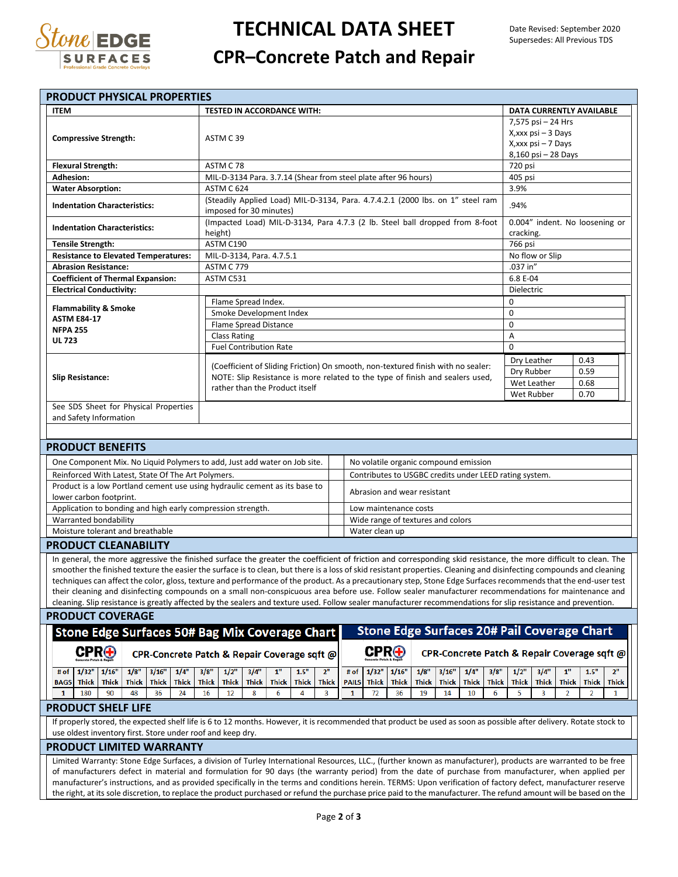

# **TECHNICAL DATA SHEET**

## **CPR–Concrete Patch and Repair**

| <b>PRODUCT PHYSICAL PROPERTIES</b>                                                                                                                                                                                               |                                                                                                                                                              |                                                                                                                              |
|----------------------------------------------------------------------------------------------------------------------------------------------------------------------------------------------------------------------------------|--------------------------------------------------------------------------------------------------------------------------------------------------------------|------------------------------------------------------------------------------------------------------------------------------|
| <b>ITEM</b>                                                                                                                                                                                                                      | <b>TESTED IN ACCORDANCE WITH:</b>                                                                                                                            | DATA CURRENTLY AVAILABLE                                                                                                     |
|                                                                                                                                                                                                                                  |                                                                                                                                                              | 7,575 psi - 24 Hrs                                                                                                           |
|                                                                                                                                                                                                                                  |                                                                                                                                                              | X, xxx psi - 3 Days                                                                                                          |
| <b>Compressive Strength:</b>                                                                                                                                                                                                     | ASTM C39                                                                                                                                                     | X, xxx psi - 7 Days                                                                                                          |
|                                                                                                                                                                                                                                  |                                                                                                                                                              | 8,160 psi - 28 Days                                                                                                          |
| <b>Flexural Strength:</b>                                                                                                                                                                                                        | ASTM C78                                                                                                                                                     | 720 psi                                                                                                                      |
| <b>Adhesion:</b>                                                                                                                                                                                                                 | MIL-D-3134 Para. 3.7.14 (Shear from steel plate after 96 hours)                                                                                              | 405 psi                                                                                                                      |
| <b>Water Absorption:</b>                                                                                                                                                                                                         | ASTM C 624                                                                                                                                                   | 3.9%                                                                                                                         |
| <b>Indentation Characteristics:</b>                                                                                                                                                                                              | (Steadily Applied Load) MIL-D-3134, Para. 4.7.4.2.1 (2000 lbs. on 1" steel ram                                                                               | .94%                                                                                                                         |
|                                                                                                                                                                                                                                  | imposed for 30 minutes)                                                                                                                                      |                                                                                                                              |
| <b>Indentation Characteristics:</b>                                                                                                                                                                                              | (Impacted Load) MIL-D-3134, Para 4.7.3 (2 lb. Steel ball dropped from 8-foot<br>height)                                                                      | 0.004" indent. No loosening or<br>cracking.                                                                                  |
| <b>Tensile Strength:</b>                                                                                                                                                                                                         | ASTM C190                                                                                                                                                    | 766 psi                                                                                                                      |
| <b>Resistance to Elevated Temperatures:</b>                                                                                                                                                                                      | MIL-D-3134, Para. 4.7.5.1                                                                                                                                    | No flow or Slip                                                                                                              |
| <b>Abrasion Resistance:</b>                                                                                                                                                                                                      | <b>ASTM C 779</b>                                                                                                                                            | .037 in"                                                                                                                     |
| <b>Coefficient of Thermal Expansion:</b>                                                                                                                                                                                         | ASTM C531                                                                                                                                                    | 6.8 E-04                                                                                                                     |
| <b>Electrical Conductivity:</b>                                                                                                                                                                                                  |                                                                                                                                                              | Dielectric                                                                                                                   |
|                                                                                                                                                                                                                                  | Flame Spread Index.                                                                                                                                          | 0                                                                                                                            |
| <b>Flammability &amp; Smoke</b><br>Smoke Development Index                                                                                                                                                                       |                                                                                                                                                              | 0                                                                                                                            |
| <b>ASTM E84-17</b>                                                                                                                                                                                                               | Flame Spread Distance                                                                                                                                        | 0                                                                                                                            |
| <b>NFPA 255</b>                                                                                                                                                                                                                  | <b>Class Rating</b>                                                                                                                                          | Α                                                                                                                            |
| <b>UL 723</b>                                                                                                                                                                                                                    | <b>Fuel Contribution Rate</b>                                                                                                                                | $\Omega$                                                                                                                     |
| <b>Slip Resistance:</b>                                                                                                                                                                                                          |                                                                                                                                                              | Dry Leather<br>0.43                                                                                                          |
|                                                                                                                                                                                                                                  | (Coefficient of Sliding Friction) On smooth, non-textured finish with no sealer:                                                                             | Dry Rubber<br>0.59                                                                                                           |
|                                                                                                                                                                                                                                  | NOTE: Slip Resistance is more related to the type of finish and sealers used,                                                                                | Wet Leather<br>0.68                                                                                                          |
|                                                                                                                                                                                                                                  | rather than the Product itself                                                                                                                               | 0.70<br>Wet Rubber                                                                                                           |
| See SDS Sheet for Physical Properties                                                                                                                                                                                            |                                                                                                                                                              |                                                                                                                              |
| and Safety Information                                                                                                                                                                                                           |                                                                                                                                                              |                                                                                                                              |
|                                                                                                                                                                                                                                  |                                                                                                                                                              |                                                                                                                              |
|                                                                                                                                                                                                                                  |                                                                                                                                                              |                                                                                                                              |
| <b>PRODUCT BENEFITS</b>                                                                                                                                                                                                          |                                                                                                                                                              |                                                                                                                              |
| One Component Mix. No Liquid Polymers to add, Just add water on Job site.<br>No volatile organic compound emission                                                                                                               |                                                                                                                                                              |                                                                                                                              |
| Reinforced With Latest, State Of The Art Polymers.<br>Contributes to USGBC credits under LEED rating system.                                                                                                                     |                                                                                                                                                              |                                                                                                                              |
|                                                                                                                                                                                                                                  | Product is a low Portland cement use using hydraulic cement as its base to<br>Abrasion and wear resistant                                                    |                                                                                                                              |
| lower carbon footprint.                                                                                                                                                                                                          |                                                                                                                                                              |                                                                                                                              |
| Application to bonding and high early compression strength.                                                                                                                                                                      | Low maintenance costs                                                                                                                                        |                                                                                                                              |
| Warranted bondability                                                                                                                                                                                                            | Wide range of textures and colors                                                                                                                            |                                                                                                                              |
| Moisture tolerant and breathable<br>Water clean up                                                                                                                                                                               |                                                                                                                                                              |                                                                                                                              |
| <b>PRODUCT CLEANABILITY</b>                                                                                                                                                                                                      |                                                                                                                                                              |                                                                                                                              |
| In general, the more aggressive the finished surface the greater the coefficient of friction and corresponding skid resistance, the more difficult to clean. The                                                                 |                                                                                                                                                              |                                                                                                                              |
| smoother the finished texture the easier the surface is to clean, but there is a loss of skid resistant properties. Cleaning and disinfecting compounds and cleaning                                                             |                                                                                                                                                              |                                                                                                                              |
| techniques can affect the color, gloss, texture and performance of the product. As a precautionary step, Stone Edge Surfaces recommends that the end-user test                                                                   |                                                                                                                                                              |                                                                                                                              |
| their cleaning and disinfecting compounds on a small non-conspicuous area before use. Follow sealer manufacturer recommendations for maintenance and                                                                             |                                                                                                                                                              |                                                                                                                              |
| cleaning. Slip resistance is greatly affected by the sealers and texture used. Follow sealer manufacturer recommendations for slip resistance and prevention.                                                                    |                                                                                                                                                              |                                                                                                                              |
| <b>PRODUCT COVERAGE</b>                                                                                                                                                                                                          |                                                                                                                                                              |                                                                                                                              |
| <b>Stone Edge Surfaces 20# Pail Coverage Chart</b><br><b>Stone Edge Surfaces 50# Bag Mix Coverage Chart</b>                                                                                                                      |                                                                                                                                                              |                                                                                                                              |
|                                                                                                                                                                                                                                  |                                                                                                                                                              |                                                                                                                              |
| $\mathbf{CPR}\mathbf{\oplus}$                                                                                                                                                                                                    | $\mathbf{CPR}\oplus$<br>CPR-Concrete Patch & Repair Coverage sqft @                                                                                          | CPR-Concrete Patch & Repair Coverage sqft @                                                                                  |
| 1/8"<br>1/4"<br># of<br>1/32"<br>1/16"<br>3/16"                                                                                                                                                                                  | 3/8"<br>1/2"<br>3/4"<br>$1"$<br>1.5"<br>2 <sup>n</sup><br>1/32"<br>1/8"<br># of<br>1/16"                                                                     | 2 <sup>n</sup><br>1/4"<br>3/8"<br>1/2"<br>3/4"<br>1"<br>1.5"<br>3/16"                                                        |
| <b>Thick</b><br><b>Thick</b><br><b>Thick</b><br><b>Thick</b><br><b>Thick</b><br><b>BAGS</b>                                                                                                                                      | <b>Thick</b><br><b>Thick</b><br><b>Thick</b><br><b>Thick</b><br><b>Thick</b><br><b>Thick</b><br><b>PAILS</b><br><b>Thick</b><br><b>Thick</b><br><b>Thick</b> | <b>Thick</b><br><b>Thick</b><br><b>Thick</b><br><b>Thick</b><br><b>Thick</b><br><b>Thick</b><br><b>Thick</b><br><b>Thick</b> |
| 1<br>180<br>90<br>48<br>36<br>24                                                                                                                                                                                                 | 16<br>8<br>6<br>4<br>3<br>72<br>36<br>19<br>12<br>1                                                                                                          | 6<br>5<br>3<br>$\overline{2}$<br>1<br>14<br>10<br>2                                                                          |
| <b>PRODUCT SHELF LIFE</b>                                                                                                                                                                                                        |                                                                                                                                                              |                                                                                                                              |
|                                                                                                                                                                                                                                  |                                                                                                                                                              |                                                                                                                              |
| If properly stored, the expected shelf life is 6 to 12 months. However, it is recommended that product be used as soon as possible after delivery. Rotate stock to<br>use oldest inventory first. Store under roof and keep dry. |                                                                                                                                                              |                                                                                                                              |
| <b>PRODUCT LIMITED WARRANTY</b>                                                                                                                                                                                                  |                                                                                                                                                              |                                                                                                                              |
| Limited Warranty: Stone Edge Surfaces, a division of Turley International Resources, LLC., (further known as manufacturer), products are warranted to be free                                                                    |                                                                                                                                                              |                                                                                                                              |
| of manufacturers defect in material and formulation for 90 days (the warranty period) from the date of purchase from manufacturer, when applied per                                                                              |                                                                                                                                                              |                                                                                                                              |
| manufacturer's instructions, and as provided specifically in the terms and conditions herein. TERMS: Upon verification of factory defect, manufacturer reserve                                                                   |                                                                                                                                                              |                                                                                                                              |
| the right, at its sole discretion, to replace the product purchased or refund the purchase price paid to the manufacturer. The refund amount will be based on the                                                                |                                                                                                                                                              |                                                                                                                              |
|                                                                                                                                                                                                                                  |                                                                                                                                                              |                                                                                                                              |